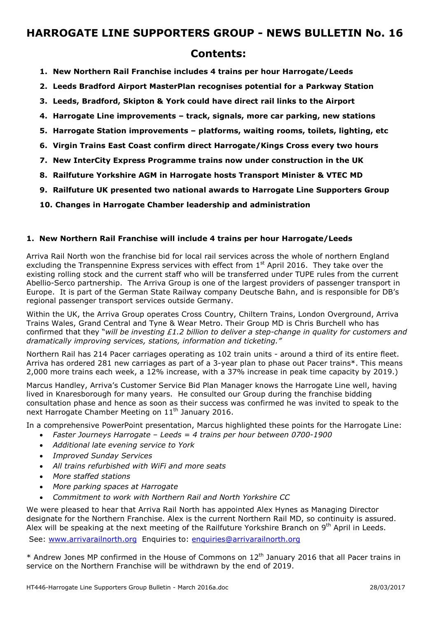## **Contents:**

- **1. New Northern Rail Franchise includes 4 trains per hour Harrogate/Leeds**
- **2. Leeds Bradford Airport MasterPlan recognises potential for a Parkway Station**
- **3. Leeds, Bradford, Skipton & York could have direct rail links to the Airport**
- **4. Harrogate Line improvements track, signals, more car parking, new stations**
- **5. Harrogate Station improvements platforms, waiting rooms, toilets, lighting, etc**
- **6. Virgin Trains East Coast confirm direct Harrogate/Kings Cross every two hours**
- **7. New InterCity Express Programme trains now under construction in the UK**
- **8. Railfuture Yorkshire AGM in Harrogate hosts Transport Minister & VTEC MD**
- **9. Railfuture UK presented two national awards to Harrogate Line Supporters Group**

**10. Changes in Harrogate Chamber leadership and administration** 

### **1. New Northern Rail Franchise will include 4 trains per hour Harrogate/Leeds**

Arriva Rail North won the franchise bid for local rail services across the whole of northern England excluding the Transpennine Express services with effect from  $1<sup>st</sup>$  April 2016. They take over the existing rolling stock and the current staff who will be transferred under TUPE rules from the current Abellio-Serco partnership. The Arriva Group is one of the largest providers of passenger transport in Europe. It is part of the German State Railway company Deutsche Bahn, and is responsible for DB's regional passenger transport services outside Germany.

Within the UK, the Arriva Group operates Cross Country, Chiltern Trains, London Overground, Arriva Trains Wales, Grand Central and Tyne & Wear Metro. Their Group MD is Chris Burchell who has confirmed that they "*will be investing £1.2 billion to deliver a step-change in quality for customers and dramatically improving services, stations, information and ticketing."* 

Northern Rail has 214 Pacer carriages operating as 102 train units - around a third of its entire fleet. Arriva has ordered 281 new carriages as part of a 3-year plan to phase out Pacer trains\*. This means 2,000 more trains each week, a 12% increase, with a 37% increase in peak time capacity by 2019.)

Marcus Handley, Arriva's Customer Service Bid Plan Manager knows the Harrogate Line well, having lived in Knaresborough for many years. He consulted our Group during the franchise bidding consultation phase and hence as soon as their success was confirmed he was invited to speak to the next Harrogate Chamber Meeting on  $11<sup>th</sup>$  January 2016.

In a comprehensive PowerPoint presentation, Marcus highlighted these points for the Harrogate Line:

- *Faster Journeys Harrogate Leeds = 4 trains per hour between 0700-1900*
- *Additional late evening service to York*
- *Improved Sunday Services*
- *All trains refurbished with WiFi and more seats*
- *More staffed stations*
- *More parking spaces at Harrogate*
- *Commitment to work with Northern Rail and North Yorkshire CC*

We were pleased to hear that Arriva Rail North has appointed Alex Hynes as Managing Director designate for the Northern Franchise. Alex is the current Northern Rail MD, so continuity is assured. Alex will be speaking at the next meeting of the Railfuture Yorkshire Branch on 9<sup>th</sup> April in Leeds.

See: www.arrivarailnorth.org Enquiries to: enquiries@arrivarailnorth.org

\* Andrew Jones MP confirmed in the House of Commons on 12th January 2016 that all Pacer trains in service on the Northern Franchise will be withdrawn by the end of 2019.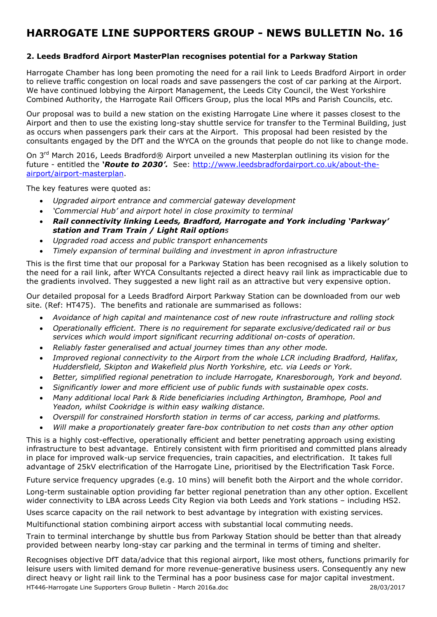## **2. Leeds Bradford Airport MasterPlan recognises potential for a Parkway Station**

Harrogate Chamber has long been promoting the need for a rail link to Leeds Bradford Airport in order to relieve traffic congestion on local roads and save passengers the cost of car parking at the Airport. We have continued lobbying the Airport Management, the Leeds City Council, the West Yorkshire Combined Authority, the Harrogate Rail Officers Group, plus the local MPs and Parish Councils, etc.

Our proposal was to build a new station on the existing Harrogate Line where it passes closest to the Airport and then to use the existing long-stay shuttle service for transfer to the Terminal Building, just as occurs when passengers park their cars at the Airport. This proposal had been resisted by the consultants engaged by the DfT and the WYCA on the grounds that people do not like to change mode.

On 3<sup>rd</sup> March 2016, Leeds Bradford® Airport unveiled a new Masterplan outlining its vision for the future - entitled the *'Route to 2030'.* See: http://www.leedsbradfordairport.co.uk/about-theairport/airport-masterplan.

The key features were quoted as:

- *Upgraded airport entrance and commercial gateway development*
- *'Commercial Hub' and airport hotel in close proximity to terminal*
- *Rail connectivity linking Leeds, Bradford, Harrogate and York including 'Parkway' station and Tram Train / Light Rail options*
- *Upgraded road access and public transport enhancements*
- *Timely expansion of terminal building and investment in apron infrastructure*

This is the first time that our proposal for a Parkway Station has been recognised as a likely solution to the need for a rail link, after WYCA Consultants rejected a direct heavy rail link as impracticable due to the gradients involved. They suggested a new light rail as an attractive but very expensive option.

Our detailed proposal for a Leeds Bradford Airport Parkway Station can be downloaded from our web site. (Ref: HT475). The benefits and rationale are summarised as follows:

- *Avoidance of high capital and maintenance cost of new route infrastructure and rolling stock*
- *Operationally efficient. There is no requirement for separate exclusive/dedicated rail or bus services which would import significant recurring additional on-costs of operation.*
- *Reliably faster generalised and actual journey times than any other mode.*
- *Improved regional connectivity to the Airport from the whole LCR including Bradford, Halifax, Huddersfield, Skipton and Wakefield plus North Yorkshire, etc. via Leeds or York.*
- *Better, simplified regional penetration to include Harrogate, Knaresborough, York and beyond.*
- *Significantly lower and more efficient use of public funds with sustainable opex costs.*
- *Many additional local Park & Ride beneficiaries including Arthington, Bramhope, Pool and Yeadon, whilst Cookridge is within easy walking distance.*
- *Overspill for constrained Horsforth station in terms of car access, parking and platforms.*
- *Will make a proportionately greater fare-box contribution to net costs than any other option*

This is a highly cost-effective, operationally efficient and better penetrating approach using existing infrastructure to best advantage. Entirely consistent with firm prioritised and committed plans already in place for improved walk-up service frequencies, train capacities, and electrification. It takes full advantage of 25kV electrification of the Harrogate Line, prioritised by the Electrification Task Force.

Future service frequency upgrades (e.g. 10 mins) will benefit both the Airport and the whole corridor. Long-term sustainable option providing far better regional penetration than any other option. Excellent wider connectivity to LBA across Leeds City Region via both Leeds and York stations – including HS2.

Uses scarce capacity on the rail network to best advantage by integration with existing services.

Multifunctional station combining airport access with substantial local commuting needs.

Train to terminal interchange by shuttle bus from Parkway Station should be better than that already provided between nearby long-stay car parking and the terminal in terms of timing and shelter.

HT446-Harrogate Line Supporters Group Bulletin - March 2016a.doc 28/03/2017 Recognises objective DfT data/advice that this regional airport, like most others, functions primarily for leisure users with limited demand for more revenue-generative business users. Consequently any new direct heavy or light rail link to the Terminal has a poor business case for major capital investment.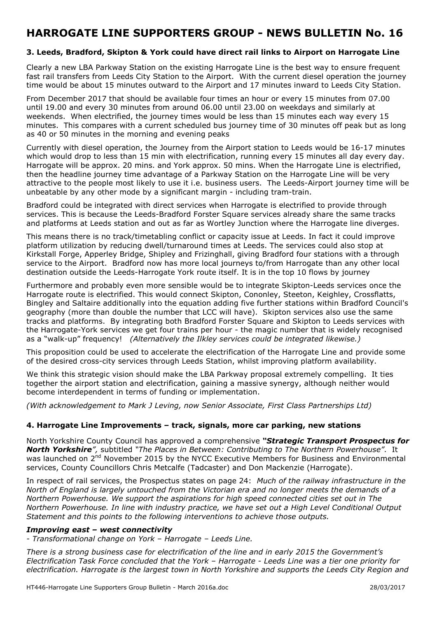### **3. Leeds, Bradford, Skipton & York could have direct rail links to Airport on Harrogate Line**

Clearly a new LBA Parkway Station on the existing Harrogate Line is the best way to ensure frequent fast rail transfers from Leeds City Station to the Airport. With the current diesel operation the journey time would be about 15 minutes outward to the Airport and 17 minutes inward to Leeds City Station.

From December 2017 that should be available four times an hour or every 15 minutes from 07.00 until 19.00 and every 30 minutes from around 06.00 until 23.00 on weekdays and similarly at weekends. When electrified, the journey times would be less than 15 minutes each way every 15 minutes. This compares with a current scheduled bus journey time of 30 minutes off peak but as long as 40 or 50 minutes in the morning and evening peaks

Currently with diesel operation, the Journey from the Airport station to Leeds would be 16-17 minutes which would drop to less than 15 min with electrification, running every 15 minutes all day every day. Harrogate will be approx. 20 mins. and York approx. 50 mins. When the Harrogate Line is electrified, then the headline journey time advantage of a Parkway Station on the Harrogate Line will be very attractive to the people most likely to use it i.e. business users. The Leeds-Airport journey time will be unbeatable by any other mode by a significant margin - including tram-train.

Bradford could be integrated with direct services when Harrogate is electrified to provide through services. This is because the Leeds-Bradford Forster Square services already share the same tracks and platforms at Leeds station and out as far as Wortley Junction where the Harrogate line diverges.

This means there is no track/timetabling conflict or capacity issue at Leeds. In fact it could improve platform utilization by reducing dwell/turnaround times at Leeds. The services could also stop at Kirkstall Forge, Apperley Bridge, Shipley and Frizinghall, giving Bradford four stations with a through service to the Airport. Bradford now has more local journeys to/from Harrogate than any other local destination outside the Leeds-Harrogate York route itself. It is in the top 10 flows by journey

Furthermore and probably even more sensible would be to integrate Skipton-Leeds services once the Harrogate route is electrified. This would connect Skipton, Cononley, Steeton, Keighley, Crossflatts, Bingley and Saltaire additionally into the equation adding five further stations within Bradford Council's geography (more than double the number that LCC will have). Skipton services also use the same tracks and platforms. By integrating both Bradford Forster Square and Skipton to Leeds services with the Harrogate-York services we get four trains per hour - the magic number that is widely recognised as a "walk-up" frequency! *(Alternatively the Ilkley services could be integrated likewise.)*

This proposition could be used to accelerate the electrification of the Harrogate Line and provide some of the desired cross-city services through Leeds Station, whilst improving platform availability.

We think this strategic vision should make the LBA Parkway proposal extremely compelling. It ties together the airport station and electrification, gaining a massive synergy, although neither would become interdependent in terms of funding or implementation.

*(With acknowledgement to Mark J Leving, now Senior Associate, First Class Partnerships Ltd)* 

### **4. Harrogate Line Improvements – track, signals, more car parking, new stations**

North Yorkshire County Council has approved a comprehensive *"Strategic Transport Prospectus for North Yorkshire",* subtitled *"The Places in Between: Contributing to The Northern Powerhouse"*. It was launched on 2<sup>nd</sup> November 2015 by the NYCC Executive Members for Business and Environmental services, County Councillors Chris Metcalfe (Tadcaster) and Don Mackenzie (Harrogate).

In respect of rail services, the Prospectus states on page 24: *Much of the railway infrastructure in the North of England is largely untouched from the Victorian era and no longer meets the demands of a Northern Powerhouse. We support the aspirations for high speed connected cities set out in The Northern Powerhouse. In line with industry practice, we have set out a High Level Conditional Output Statement and this points to the following interventions to achieve those outputs.* 

### *Improving east – west connectivity*

*- Transformational change on York – Harrogate – Leeds Line.* 

*There is a strong business case for electrification of the line and in early 2015 the Government's Electrification Task Force concluded that the York – Harrogate - Leeds Line was a tier one priority for electrification. Harrogate is the largest town in North Yorkshire and supports the Leeds City Region and*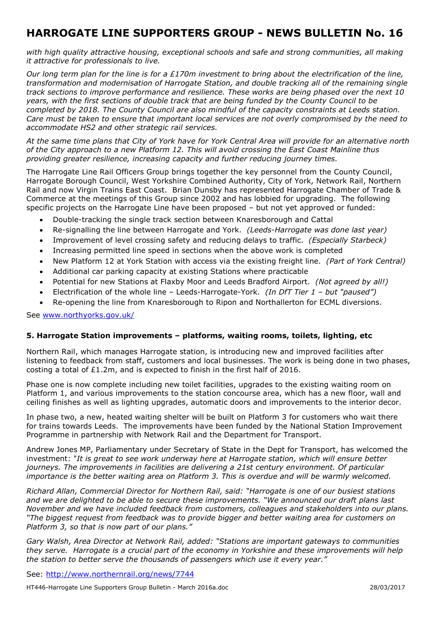*with high quality attractive housing, exceptional schools and safe and strong communities, all making it attractive for professionals to live.* 

*Our long term plan for the line is for a £170m investment to bring about the electrification of the line, transformation and modernisation of Harrogate Station, and double tracking all of the remaining single track sections to improve performance and resilience. These works are being phased over the next 10 years, with the first sections of double track that are being funded by the County Council to be completed by 2018. The County Council are also mindful of the capacity constraints at Leeds station. Care must be taken to ensure that important local services are not overly compromised by the need to accommodate HS2 and other strategic rail services.* 

*At the same time plans that City of York have for York Central Area will provide for an alternative north of the City approach to a new Platform 12. This will avoid crossing the East Coast Mainline thus providing greater resilience, increasing capacity and further reducing journey times.*

The Harrogate Line Rail Officers Group brings together the key personnel from the County Council, Harrogate Borough Council, West Yorkshire Combined Authority, City of York, Network Rail, Northern Rail and now Virgin Trains East Coast. Brian Dunsby has represented Harrogate Chamber of Trade & Commerce at the meetings of this Group since 2002 and has lobbied for upgrading. The following specific projects on the Harrogate Line have been proposed – but not yet approved or funded:

- Double-tracking the single track section between Knaresborough and Cattal
- Re-signalling the line between Harrogate and York. *(Leeds-Harrogate was done last year)*
- Improvement of level crossing safety and reducing delays to traffic. *(Especially Starbeck)*
- Increasing permitted line speed in sections when the above work is completed
- New Platform 12 at York Station with access via the existing freight line. *(Part of York Central)*
- Additional car parking capacity at existing Stations where practicable
- Potential for new Stations at Flaxby Moor and Leeds Bradford Airport. *(Not agreed by all!)*
- Electrification of the whole line Leeds-Harrogate-York. *(In DfT Tier 1 but "paused")*
- Re-opening the line from Knaresborough to Ripon and Northallerton for ECML diversions.

See www.northyorks.gov.uk/

### **5. Harrogate Station improvements – platforms, waiting rooms, toilets, lighting, etc**

Northern Rail, which manages Harrogate station, is introducing new and improved facilities after listening to feedback from staff, customers and local businesses. The work is being done in two phases, costing a total of  $£1.2m$ , and is expected to finish in the first half of 2016.

Phase one is now complete including new toilet facilities, upgrades to the existing waiting room on Platform 1, and various improvements to the station concourse area, which has a new floor, wall and ceiling finishes as well as lighting upgrades, automatic doors and improvements to the interior decor.

In phase two, a new, heated waiting shelter will be built on Platform 3 for customers who wait there for trains towards Leeds. The improvements have been funded by the National Station Improvement Programme in partnership with Network Rail and the Department for Transport.

Andrew Jones MP, Parliamentary under Secretary of State in the Dept for Transport, has welcomed the investment: "*It is great to see work underway here at Harrogate station, which will ensure better*  journeys. The improvements in facilities are delivering a 21st century environment. Of particular *importance is the better waiting area on Platform 3. This is overdue and will be warmly welcomed.*

*Richard Allan, Commercial Director for Northern Rail, said: "Harrogate is one of our busiest stations and we are delighted to be able to secure these improvements. "We announced our draft plans last November and we have included feedback from customers, colleagues and stakeholders into our plans. "The biggest request from feedback was to provide bigger and better waiting area for customers on Platform 3, so that is now part of our plans."* 

*Gary Walsh, Area Director at Network Rail, added: "Stations are important gateways to communities they serve. Harrogate is a crucial part of the economy in Yorkshire and these improvements will help the station to better serve the thousands of passengers which use it every year."* 

See: http://www.northernrail.org/news/7744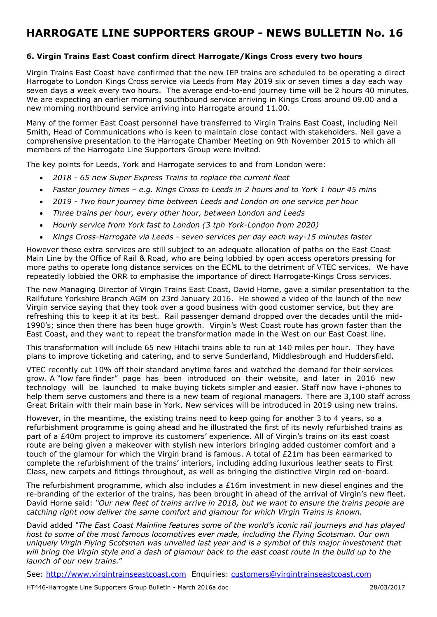## **6. Virgin Trains East Coast confirm direct Harrogate/Kings Cross every two hours**

Virgin Trains East Coast have confirmed that the new IEP trains are scheduled to be operating a direct Harrogate to London Kings Cross service via Leeds from May 2019 six or seven times a day each way seven days a week every two hours. The average end-to-end journey time will be 2 hours 40 minutes. We are expecting an earlier morning southbound service arriving in Kings Cross around 09.00 and a new morning northbound service arriving into Harrogate around 11.00.

Many of the former East Coast personnel have transferred to Virgin Trains East Coast, including Neil Smith, Head of Communications who is keen to maintain close contact with stakeholders. Neil gave a comprehensive presentation to the Harrogate Chamber Meeting on 9th November 2015 to which all members of the Harrogate Line Supporters Group were invited.

The key points for Leeds, York and Harrogate services to and from London were:

- *2018 65 new Super Express Trains to replace the current fleet*
- *Faster journey times e.g. Kings Cross to Leeds in 2 hours and to York 1 hour 45 mins*
- *2019 Two hour journey time between Leeds and London on one service per hour*
- *Three trains per hour, every other hour, between London and Leeds*
- *Hourly service from York fast to London (3 tph York-London from 2020)*
- *Kings Cross-Harrogate via Leeds seven services per day each way-15 minutes faster*

However these extra services are still subject to an adequate allocation of paths on the East Coast Main Line by the Office of Rail & Road, who are being lobbied by open access operators pressing for more paths to operate long distance services on the ECML to the detriment of VTEC services. We have repeatedly lobbied the ORR to emphasise the importance of direct Harrogate-Kings Cross services.

The new Managing Director of Virgin Trains East Coast, David Horne, gave a similar presentation to the Railfuture Yorkshire Branch AGM on 23rd January 2016. He showed a video of the launch of the new Virgin service saying that they took over a good business with good customer service, but they are refreshing this to keep it at its best. Rail passenger demand dropped over the decades until the mid-1990's; since then there has been huge growth. Virgin's West Coast route has grown faster than the East Coast, and they want to repeat the transformation made in the West on our East Coast line.

This transformation will include 65 new Hitachi trains able to run at 140 miles per hour. They have plans to improve ticketing and catering, and to serve Sunderland, Middlesbrough and Huddersfield.

VTEC recently cut 10% off their standard anytime fares and watched the demand for their services grow. A "low fare finder" page has been introduced on their website, and later in 2016 new technology will be launched to make buying tickets simpler and easier. Staff now have i-phones to help them serve customers and there is a new team of regional managers. There are 3,100 staff across Great Britain with their main base in York. New services will be introduced in 2019 using new trains.

However, in the meantime, the existing trains need to keep going for another 3 to 4 years, so a refurbishment programme is going ahead and he illustrated the first of its newly refurbished trains as part of a £40m project to improve its customers' experience. All of Virgin's trains on its east coast route are being given a makeover with stylish new interiors bringing added customer comfort and a touch of the glamour for which the Virgin brand is famous. A total of £21m has been earmarked to complete the refurbishment of the trains' interiors, including adding luxurious leather seats to First Class, new carpets and fittings throughout, as well as bringing the distinctive Virgin red on-board.

The refurbishment programme, which also includes a  $£16m$  investment in new diesel engines and the re-branding of the exterior of the trains, has been brought in ahead of the arrival of Virgin's new fleet. David Horne said: *"Our new fleet of trains arrive in 2018, but we want to ensure the trains people are catching right now deliver the same comfort and glamour for which Virgin Trains is known.* 

David added *"The East Coast Mainline features some of the world's iconic rail journeys and has played host to some of the most famous locomotives ever made, including the Flying Scotsman. Our own uniquely Virgin Flying Scotsman was unveiled last year and is a symbol of this major investment that will bring the Virgin style and a dash of glamour back to the east coast route in the build up to the launch of our new trains.*"

See: http://www.virgintrainseastcoast.com Enquiries: customers@virgintrainseastcoast.com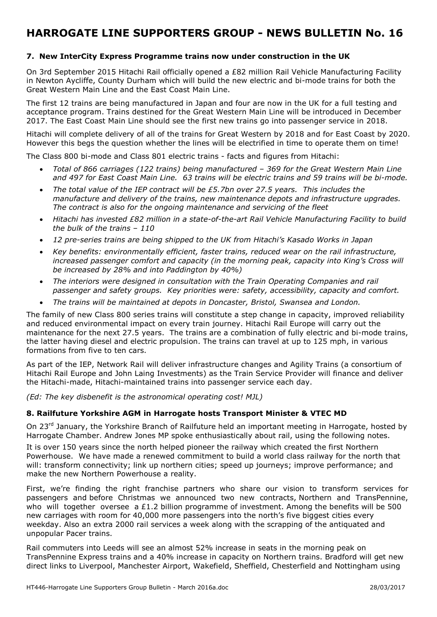### **7. New InterCity Express Programme trains now under construction in the UK**

On 3rd September 2015 Hitachi Rail officially opened a £82 million Rail Vehicle Manufacturing Facility in Newton Aycliffe, County Durham which will build the new electric and bi-mode trains for both the Great Western Main Line and the East Coast Main Line.

The first 12 trains are being manufactured in Japan and four are now in the UK for a full testing and acceptance program. Trains destined for the Great Western Main Line will be introduced in December 2017. The East Coast Main Line should see the first new trains go into passenger service in 2018.

Hitachi will complete delivery of all of the trains for Great Western by 2018 and for East Coast by 2020. However this begs the question whether the lines will be electrified in time to operate them on time!

The Class 800 bi-mode and Class 801 electric trains - facts and figures from Hitachi:

- *Total of 866 carriages (122 trains) being manufactured 369 for the Great Western Main Line and 497 for East Coast Main Line. 63 trains will be electric trains and 59 trains will be bi-mode.*
- *The total value of the IEP contract will be £5.7bn over 27.5 years. This includes the manufacture and delivery of the trains, new maintenance depots and infrastructure upgrades. The contract is also for the ongoing maintenance and servicing of the fleet*
- *Hitachi has invested £82 million in a state-of-the-art Rail Vehicle Manufacturing Facility to build the bulk of the trains – 110*
- *12 pre-series trains are being shipped to the UK from Hitachi's Kasado Works in Japan*
- *Key benefits: environmentally efficient, faster trains, reduced wear on the rail infrastructure, increased passenger comfort and capacity (in the morning peak, capacity into King's Cross will be increased by 28% and into Paddington by 40%)*
- *The interiors were designed in consultation with the Train Operating Companies and rail passenger and safety groups. Key priorities were: safety, accessibility, capacity and comfort.*
- *The trains will be maintained at depots in Doncaster, Bristol, Swansea and London.*

The family of new Class 800 series trains will constitute a step change in capacity, improved reliability and reduced environmental impact on every train journey. Hitachi Rail Europe will carry out the maintenance for the next 27.5 years. The trains are a combination of fully electric and bi-mode trains, the latter having diesel and electric propulsion. The trains can travel at up to 125 mph, in various formations from five to ten cars.

As part of the IEP, Network Rail will deliver infrastructure changes and Agility Trains (a consortium of Hitachi Rail Europe and John Laing Investments) as the Train Service Provider will finance and deliver the Hitachi-made, Hitachi-maintained trains into passenger service each day.

*(Ed: The key disbenefit is the astronomical operating cost! MJL)* 

### **8. Railfuture Yorkshire AGM in Harrogate hosts Transport Minister & VTEC MD**

On 23<sup>rd</sup> January, the Yorkshire Branch of Railfuture held an important meeting in Harrogate, hosted by Harrogate Chamber. Andrew Jones MP spoke enthusiastically about rail, using the following notes.

It is over 150 years since the north helped pioneer the railway which created the first Northern Powerhouse. We have made a renewed commitment to build a world class railway for the north that will: transform connectivity; link up northern cities; speed up journeys; improve performance; and make the new Northern Powerhouse a reality.

First, we're finding the right franchise partners who share our vision to transform services for passengers and before Christmas we announced two new contracts, Northern and TransPennine, who will together oversee a £1.2 billion programme of investment. Among the benefits will be 500 new carriages with room for 40,000 more passengers into the north's five biggest cities every weekday. Also an extra 2000 rail services a week along with the scrapping of the antiquated and unpopular Pacer trains.

Rail commuters into Leeds will see an almost 52% increase in seats in the morning peak on TransPennine Express trains and a 40% increase in capacity on Northern trains. Bradford will get new direct links to Liverpool, Manchester Airport, Wakefield, Sheffield, Chesterfield and Nottingham using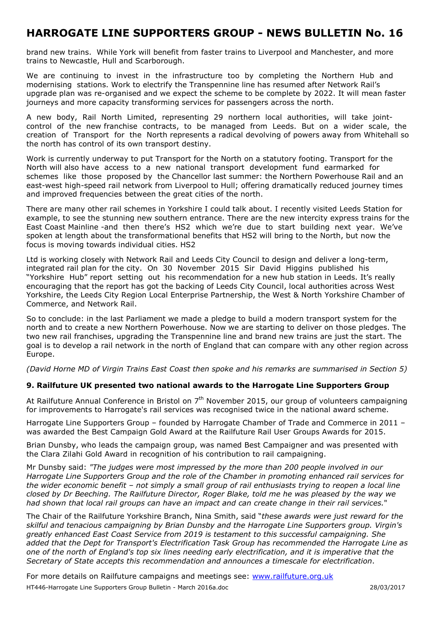brand new trains. While York will benefit from faster trains to Liverpool and Manchester, and more trains to Newcastle, Hull and Scarborough.

We are continuing to invest in the infrastructure too by completing the Northern Hub and modernising stations. Work to electrify the Transpennine line has resumed after Network Rail's upgrade plan was re-organised and we expect the scheme to be complete by 2022. It will mean faster journeys and more capacity transforming services for passengers across the north.

A new body, Rail North Limited, representing 29 northern local authorities, will take jointcontrol of the new franchise contracts, to be managed from Leeds. But on a wider scale, the creation of Transport for the North represents a radical devolving of powers away from Whitehall so the north has control of its own transport destiny.

Work is currently underway to put Transport for the North on a statutory footing. Transport for the North will also have access to a new national transport development fund earmarked for schemes like those proposed by the Chancellor last summer: the Northern Powerhouse Rail and an east-west high-speed rail network from Liverpool to Hull; offering dramatically reduced journey times and improved frequencies between the great cities of the north.

There are many other rail schemes in Yorkshire I could talk about. I recently visited Leeds Station for example, to see the stunning new southern entrance. There are the new intercity express trains for the East Coast Mainline -and then there's HS2 which we're due to start building next year. We've spoken at length about the transformational benefits that HS2 will bring to the North, but now the focus is moving towards individual cities. HS2

Ltd is working closely with Network Rail and Leeds City Council to design and deliver a long-term, integrated rail plan for the city. On 30 November 2015 Sir David Higgins published his "Yorkshire Hub" report setting out his recommendation for a new hub station in Leeds. It's really encouraging that the report has got the backing of Leeds City Council, local authorities across West Yorkshire, the Leeds City Region Local Enterprise Partnership, the West & North Yorkshire Chamber of Commerce, and Network Rail.

So to conclude: in the last Parliament we made a pledge to build a modern transport system for the north and to create a new Northern Powerhouse. Now we are starting to deliver on those pledges. The two new rail franchises, upgrading the Transpennine line and brand new trains are just the start. The goal is to develop a rail network in the north of England that can compare with any other region across Europe.

*(David Horne MD of Virgin Trains East Coast then spoke and his remarks are summarised in Section 5)* 

### **9. Railfuture UK presented two national awards to the Harrogate Line Supporters Group**

At Railfuture Annual Conference in Bristol on 7<sup>th</sup> November 2015, our group of volunteers campaigning for improvements to Harrogate's rail services was recognised twice in the national award scheme.

Harrogate Line Supporters Group – founded by Harrogate Chamber of Trade and Commerce in 2011 – was awarded the Best Campaign Gold Award at the Railfuture Rail User Groups Awards for 2015.

Brian Dunsby, who leads the campaign group, was named Best Campaigner and was presented with the Clara Zilahi Gold Award in recognition of his contribution to rail campaigning.

Mr Dunsby said: *"The judges were most impressed by the more than 200 people involved in our Harrogate Line Supporters Group and the role of the Chamber in promoting enhanced rail services for the wider economic benefit – not simply a small group of rail enthusiasts trying to reopen a local line closed by Dr Beeching. The Railfuture Director, Roger Blake, told me he was pleased by the way we had shown that local rail groups can have an impact and can create change in their rail services.*"

The Chair of the Railfuture Yorkshire Branch, Nina Smith, said "*these awards were just reward for the skilful and tenacious campaigning by Brian Dunsby and the Harrogate Line Supporters group. Virgin's greatly enhanced East Coast Service from 2019 is testament to this successful campaigning. She added that the Dept for Transport's Electrification Task Group has recommended the Harrogate Line as one of the north of England's top six lines needing early electrification, and it is imperative that the Secretary of State accepts this recommendation and announces a timescale for electrification*.

HT446-Harrogate Line Supporters Group Bulletin - March 2016a.doc 28/03/2017 For more details on Railfuture campaigns and meetings see: www.railfuture.org.uk